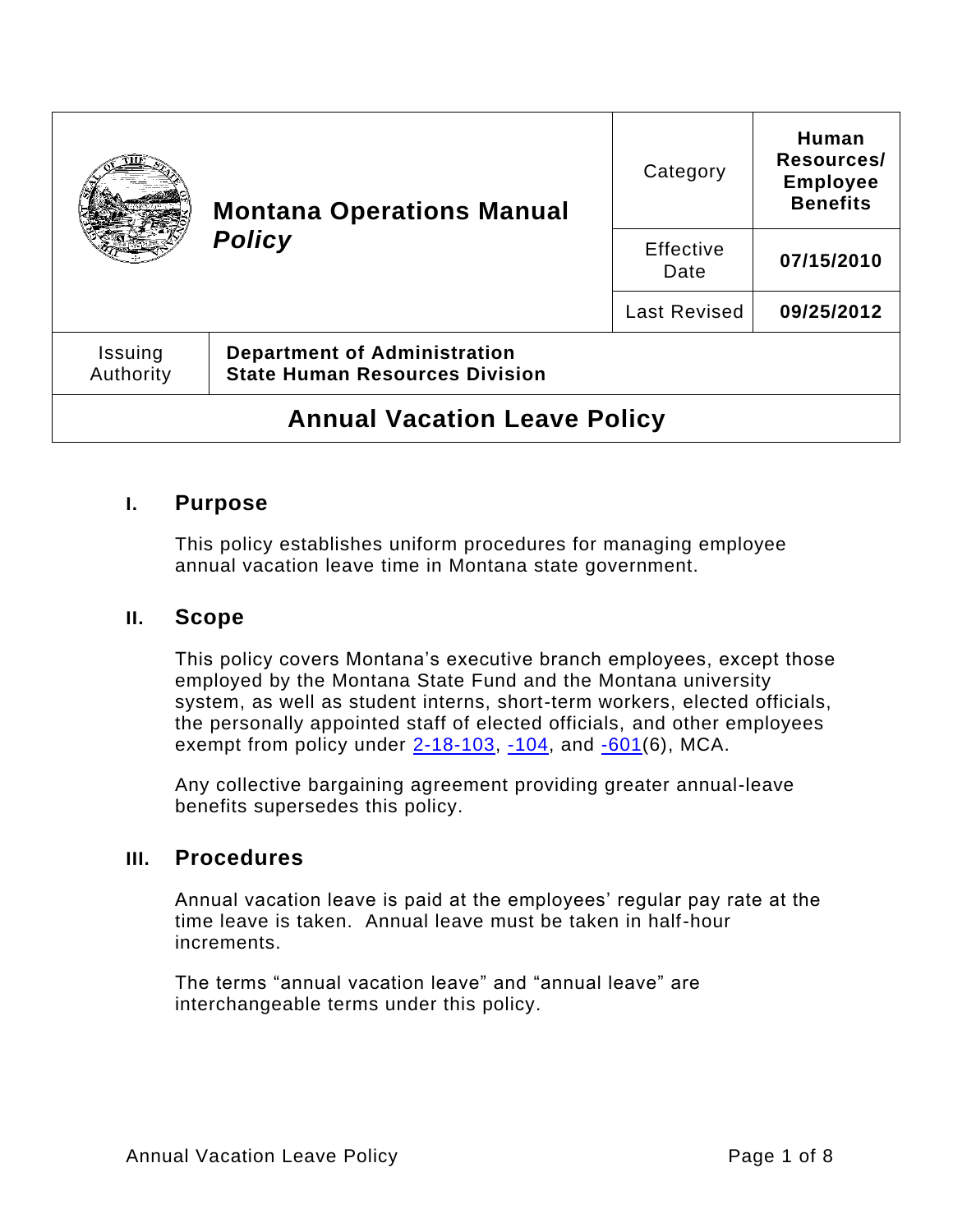|                                     | <b>Montana Operations Manual</b><br><b>Policy</b>                            | Category            | Human<br>Resources/<br><b>Employee</b><br><b>Benefits</b> |  |  |
|-------------------------------------|------------------------------------------------------------------------------|---------------------|-----------------------------------------------------------|--|--|
|                                     |                                                                              | Effective<br>Date   | 07/15/2010                                                |  |  |
|                                     |                                                                              | <b>Last Revised</b> | 09/25/2012                                                |  |  |
| Issuing<br>Authority                | <b>Department of Administration</b><br><b>State Human Resources Division</b> |                     |                                                           |  |  |
| <b>Annual Vacation Leave Policy</b> |                                                                              |                     |                                                           |  |  |

## **I. Purpose**

This policy establishes uniform procedures for managing employee annual vacation leave time in Montana state government.

## **II. Scope**

This policy covers Montana's executive branch employees, except those employed by the Montana State Fund and the Montana university system, as well as student interns, short-term workers, elected officials, the personally appointed staff of elected officials, and other employees exempt from policy under  $2-18-103$ ,  $-104$ , and  $-601(6)$ , MCA.

Any collective bargaining agreement providing greater annual-leave benefits supersedes this policy.

## **III. Procedures**

Annual vacation leave is paid at the employees' regular pay rate at the time leave is taken. Annual leave must be taken in half-hour increments.

The terms "annual vacation leave" and "annual leave" are interchangeable terms under this policy.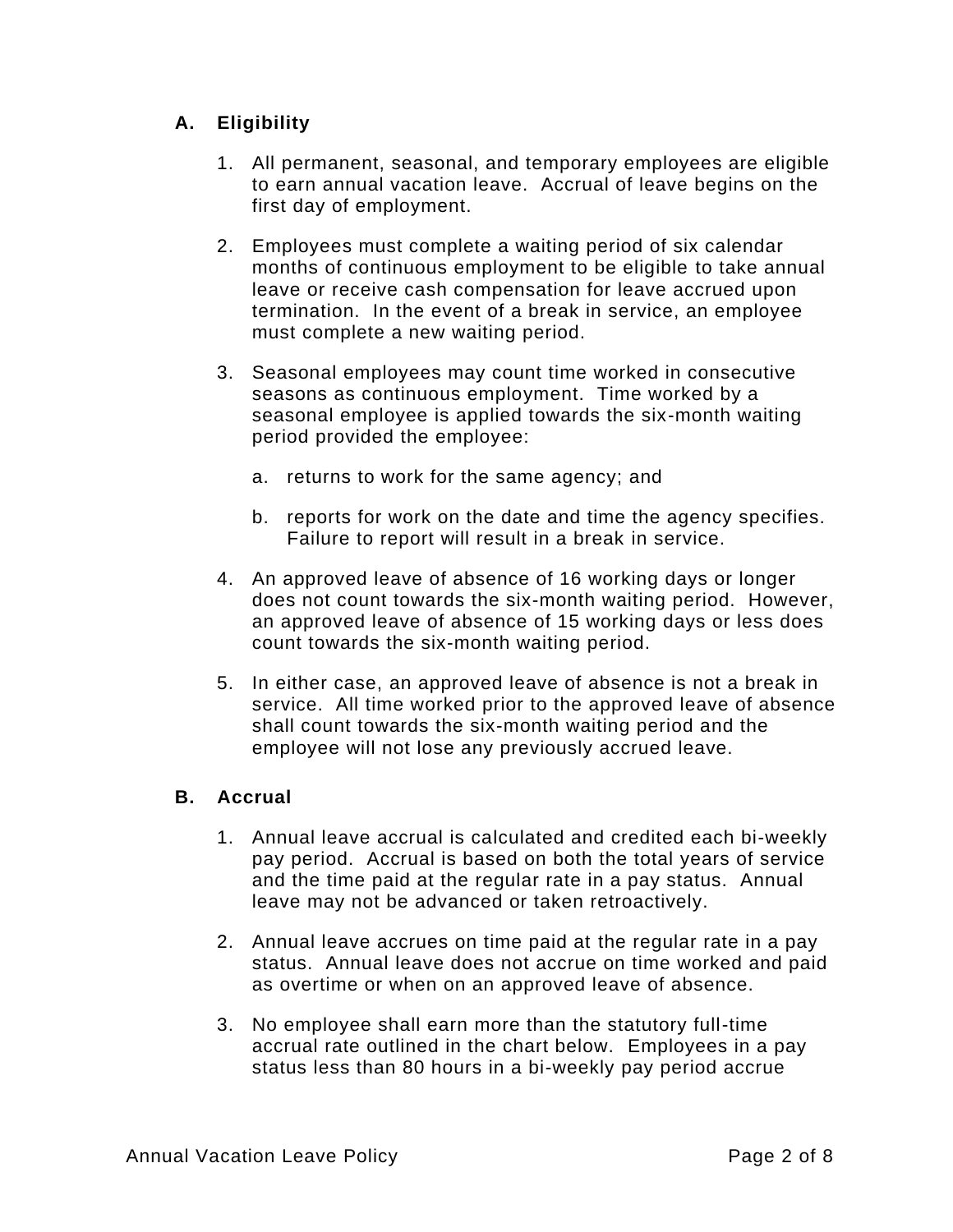## **A. Eligibility**

- 1. All permanent, seasonal, and temporary employees are eligible to earn annual vacation leave. Accrual of leave begins on the first day of employment.
- 2. Employees must complete a waiting period of six calendar months of continuous employment to be eligible to take annual leave or receive cash compensation for leave accrued upon termination. In the event of a break in service, an employee must complete a new waiting period.
- 3. Seasonal employees may count time worked in consecutive seasons as continuous employment. Time worked by a seasonal employee is applied towards the six-month waiting period provided the employee:
	- a. returns to work for the same agency; and
	- b. reports for work on the date and time the agency specifies. Failure to report will result in a break in service.
- 4. An approved leave of absence of 16 working days or longer does not count towards the six-month waiting period. However, an approved leave of absence of 15 working days or less does count towards the six-month waiting period.
- 5. In either case, an approved leave of absence is not a break in service. All time worked prior to the approved leave of absence shall count towards the six-month waiting period and the employee will not lose any previously accrued leave.

### **B. Accrual**

- 1. Annual leave accrual is calculated and credited each bi-weekly pay period. Accrual is based on both the total years of service and the time paid at the regular rate in a pay status. Annual leave may not be advanced or taken retroactively.
- 2. Annual leave accrues on time paid at the regular rate in a pay status. Annual leave does not accrue on time worked and paid as overtime or when on an approved leave of absence.
- 3. No employee shall earn more than the statutory full-time accrual rate outlined in the chart below. Employees in a pay status less than 80 hours in a bi-weekly pay period accrue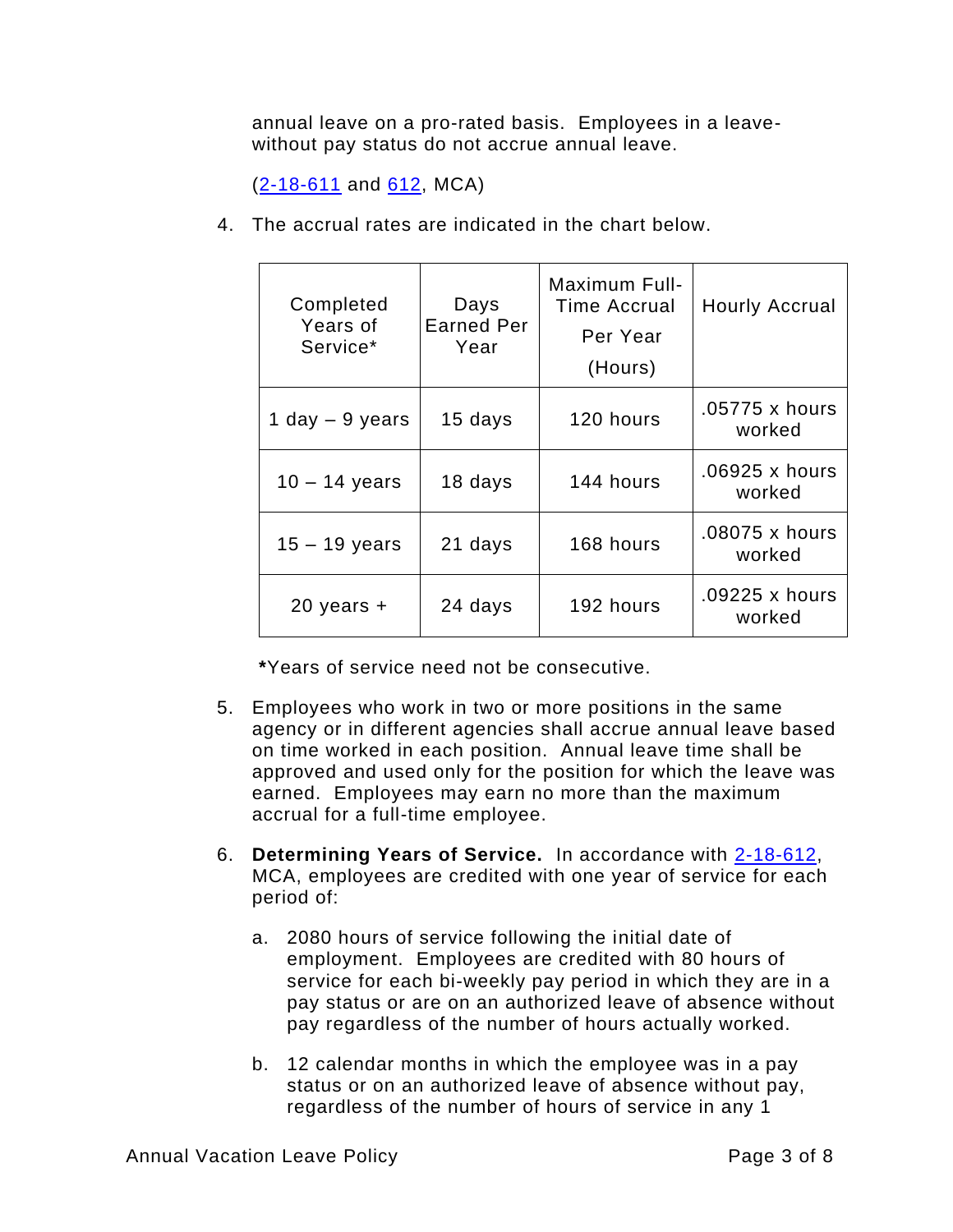annual leave on a pro-rated basis. Employees in a leavewithout pay status do not accrue annual leave.

 $(2 - 18 - 611)$  and  $612$ , MCA)

4. The accrual rates are indicated in the chart below.

| Completed<br>Years of<br>Service* | Days<br><b>Earned Per</b><br>Year | Maximum Full-<br>Time Accrual<br>Per Year<br>(Hours) | <b>Hourly Accrual</b>    |
|-----------------------------------|-----------------------------------|------------------------------------------------------|--------------------------|
| 1 day $-9$ years                  | 15 days                           | 120 hours                                            | .05775 x hours<br>worked |
| $10 - 14$ years                   | 18 days                           | 144 hours                                            | .06925 x hours<br>worked |
| $15 - 19$ years                   | 21 days                           | 168 hours                                            | .08075 x hours<br>worked |
| $20$ years $+$                    | 24 days                           | 192 hours                                            | .09225 x hours<br>worked |

**\***Years of service need not be consecutive.

- 5. Employees who work in two or more positions in the same agency or in different agencies shall accrue annual leave based on time worked in each position. Annual leave time shall be approved and used only for the position for which the leave was earned. Employees may earn no more than the maximum accrual for a full-time employee.
- 6. **Determining Years of Service.** In accordance with [2-18-612,](https://leg.mt.gov/bills/mca/title_0020/chapter_0180/part_0060/section_0120/0020-0180-0060-0120.html) MCA, employees are credited with one year of service for each period of:
	- a. 2080 hours of service following the initial date of employment. Employees are credited with 80 hours of service for each bi-weekly pay period in which they are in a pay status or are on an authorized leave of absence without pay regardless of the number of hours actually worked.
	- b. 12 calendar months in which the employee was in a pay status or on an authorized leave of absence without pay, regardless of the number of hours of service in any 1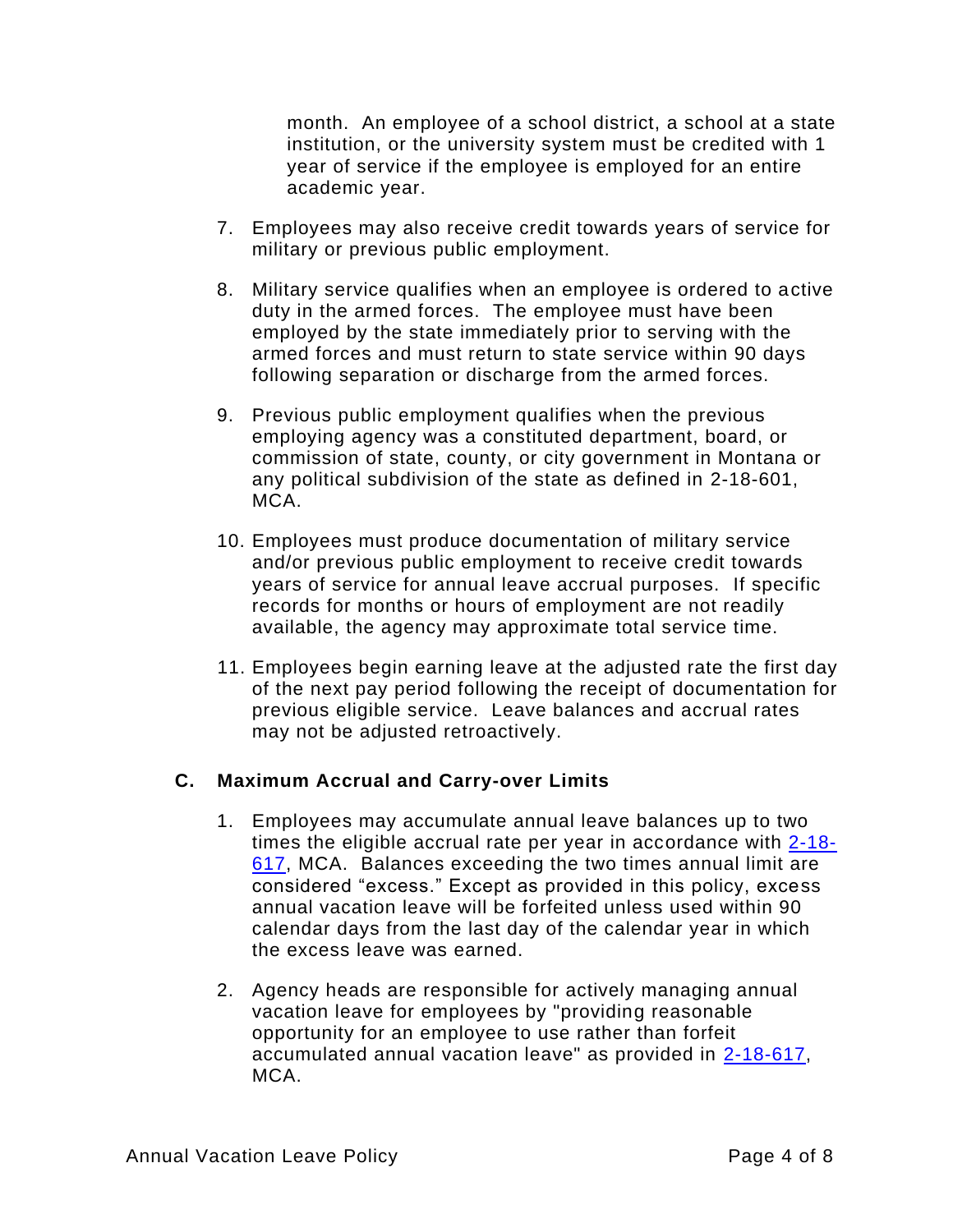month. An employee of a school district, a school at a state institution, or the university system must be credited with 1 year of service if the employee is employed for an entire academic year.

- 7. Employees may also receive credit towards years of service for military or previous public employment.
- 8. Military service qualifies when an employee is ordered to active duty in the armed forces. The employee must have been employed by the state immediately prior to serving with the armed forces and must return to state service within 90 days following separation or discharge from the armed forces.
- 9. Previous public employment qualifies when the previous employing agency was a constituted department, board, or commission of state, county, or city government in Montana or any political subdivision of the state as defined in [2-18-601,](https://leg.mt.gov/bills/mca/title_0020/chapter_0180/part_0060/section_0010/0020-0180-0060-0010.html) MCA.
- 10. Employees must produce documentation of military service and/or previous public employment to receive credit towards years of service for annual leave accrual purposes. If specific records for months or hours of employment are not readily available, the agency may approximate total service time.
- 11. Employees begin earning leave at the adjusted rate the first day of the next pay period following the receipt of documentation for previous eligible service. Leave balances and accrual rates may not be adjusted retroactively.

## **C. Maximum Accrual and Carry-over Limits**

- 1. Employees may accumulate annual leave balances up to two times the eligible accrual rate per year in accordance with  $2-18-$ [617,](https://leg.mt.gov/bills/mca/title_0020/chapter_0180/part_0060/section_0170/0020-0180-0060-0170.html) MCA. Balances exceeding the two times annual limit are considered "excess." Except as provided in this policy, excess annual vacation leave will be forfeited unless used within 90 calendar days from the last day of the calendar year in which the excess leave was earned.
- 2. Agency heads are responsible for actively managing annual vacation leave for employees by "providing reasonable opportunity for an employee to use rather than forfeit accumulated annual vacation leave" as provided in [2-18-617,](https://leg.mt.gov/bills/mca/title_0020/chapter_0180/part_0060/section_0170/0020-0180-0060-0170.html) MCA.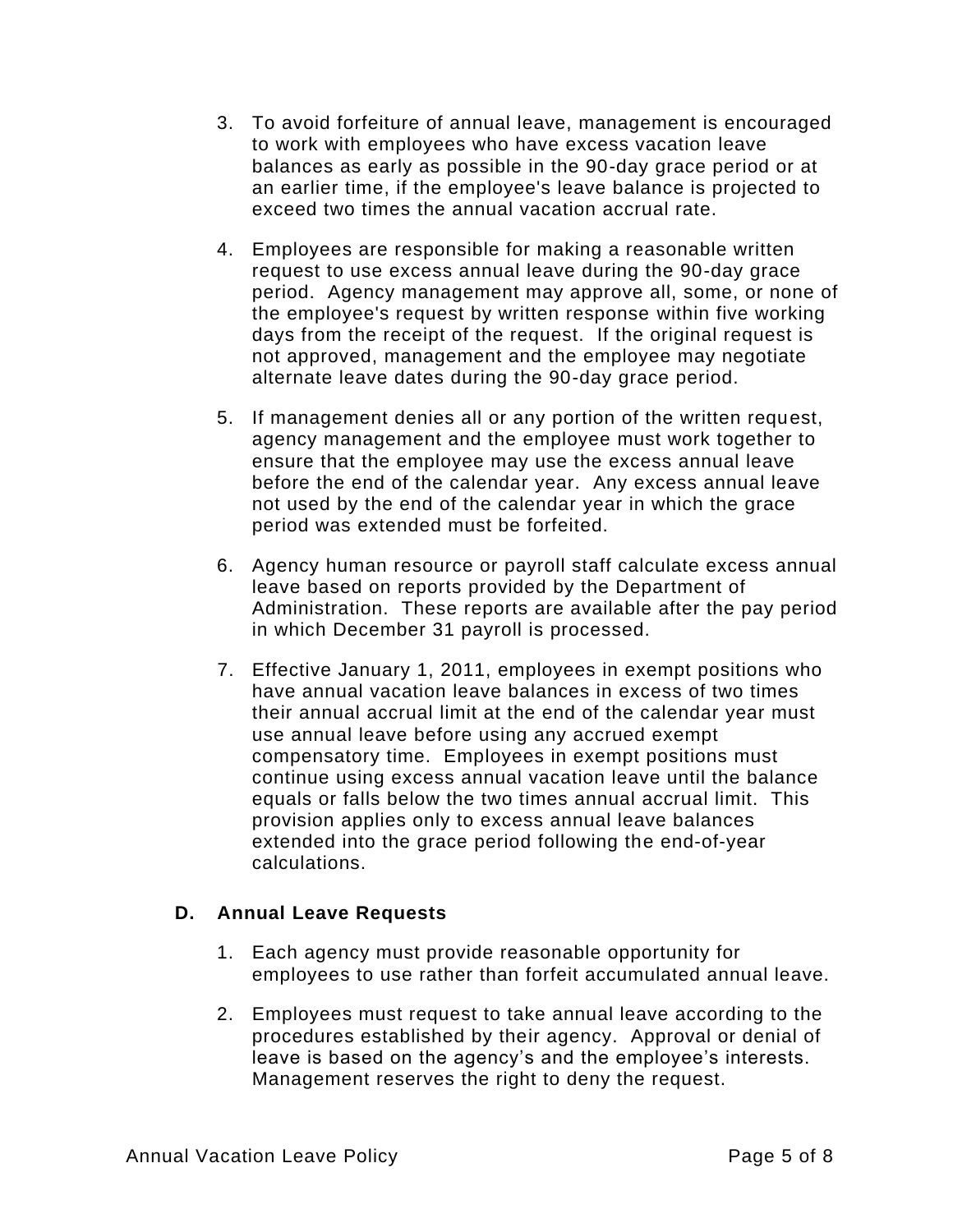- 3. To avoid forfeiture of annual leave, management is encouraged to work with employees who have excess vacation leave balances as early as possible in the 90-day grace period or at an earlier time, if the employee's leave balance is projected to exceed two times the annual vacation accrual rate.
- 4. Employees are responsible for making a reasonable written request to use excess annual leave during the 90-day grace period. Agency management may approve all, some, or none of the employee's request by written response within five working days from the receipt of the request. If the original request is not approved, management and the employee may negotiate alternate leave dates during the 90-day grace period.
- 5. If management denies all or any portion of the written request, agency management and the employee must work together to ensure that the employee may use the excess annual leave before the end of the calendar year. Any excess annual leave not used by the end of the calendar year in which the grace period was extended must be forfeited.
- 6. Agency human resource or payroll staff calculate excess annual leave based on reports provided by the Department of Administration. These reports are available after the pay period in which December 31 payroll is processed.
- 7. Effective January 1, 2011, employees in exempt positions who have annual vacation leave balances in excess of two times their annual accrual limit at the end of the calendar year must use annual leave before using any accrued exempt compensatory time. Employees in exempt positions must continue using excess annual vacation leave until the balance equals or falls below the two times annual accrual limit. This provision applies only to excess annual leave balances extended into the grace period following the end-of-year calculations.

## **D. Annual Leave Requests**

- 1. Each agency must provide reasonable opportunity for employees to use rather than forfeit accumulated annual leave.
- 2. Employees must request to take annual leave according to the procedures established by their agency. Approval or denial of leave is based on the agency's and the employee's interests. Management reserves the right to deny the request.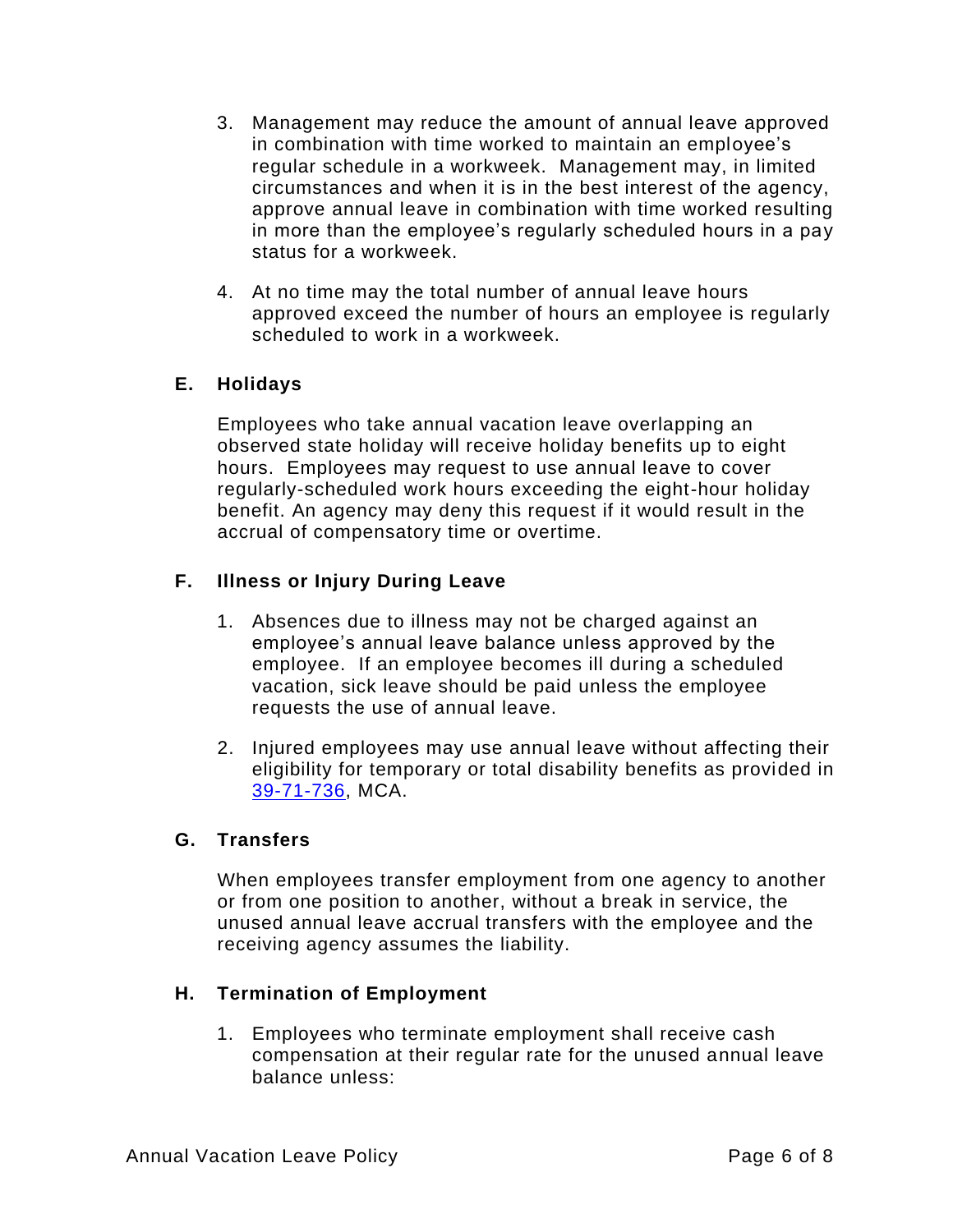- 3. Management may reduce the amount of annual leave approved in combination with time worked to maintain an employee's regular schedule in a workweek. Management may, in limited circumstances and when it is in the best interest of the agency, approve annual leave in combination with time worked resulting in more than the employee's regularly scheduled hours in a pay status for a workweek.
- 4. At no time may the total number of annual leave hours approved exceed the number of hours an employee is regularly scheduled to work in a workweek.

## **E. Holidays**

Employees who take annual vacation leave overlapping an observed state holiday will receive holiday benefits up to eight hours. Employees may request to use annual leave to cover regularly-scheduled work hours exceeding the eight-hour holiday benefit. An agency may deny this request if it would result in the accrual of compensatory time or overtime.

## **F. Illness or Injury During Leave**

- 1. Absences due to illness may not be charged against an employee's annual leave balance unless approved by the employee. If an employee becomes ill during a scheduled vacation, sick leave should be paid unless the employee requests the use of annual leave.
- 2. Injured employees may use annual leave without affecting their eligibility for temporary or total disability benefits as provided in [39-71-736,](https://leg.mt.gov/bills/mca/title_0390/chapter_0710/part_0070/section_0360/0390-0710-0070-0360.html) MCA.

## **G. Transfers**

When employees transfer employment from one agency to another or from one position to another, without a break in service, the unused annual leave accrual transfers with the employee and the receiving agency assumes the liability.

## **H. Termination of Employment**

1. Employees who terminate employment shall receive cash compensation at their regular rate for the unused annual leave balance unless: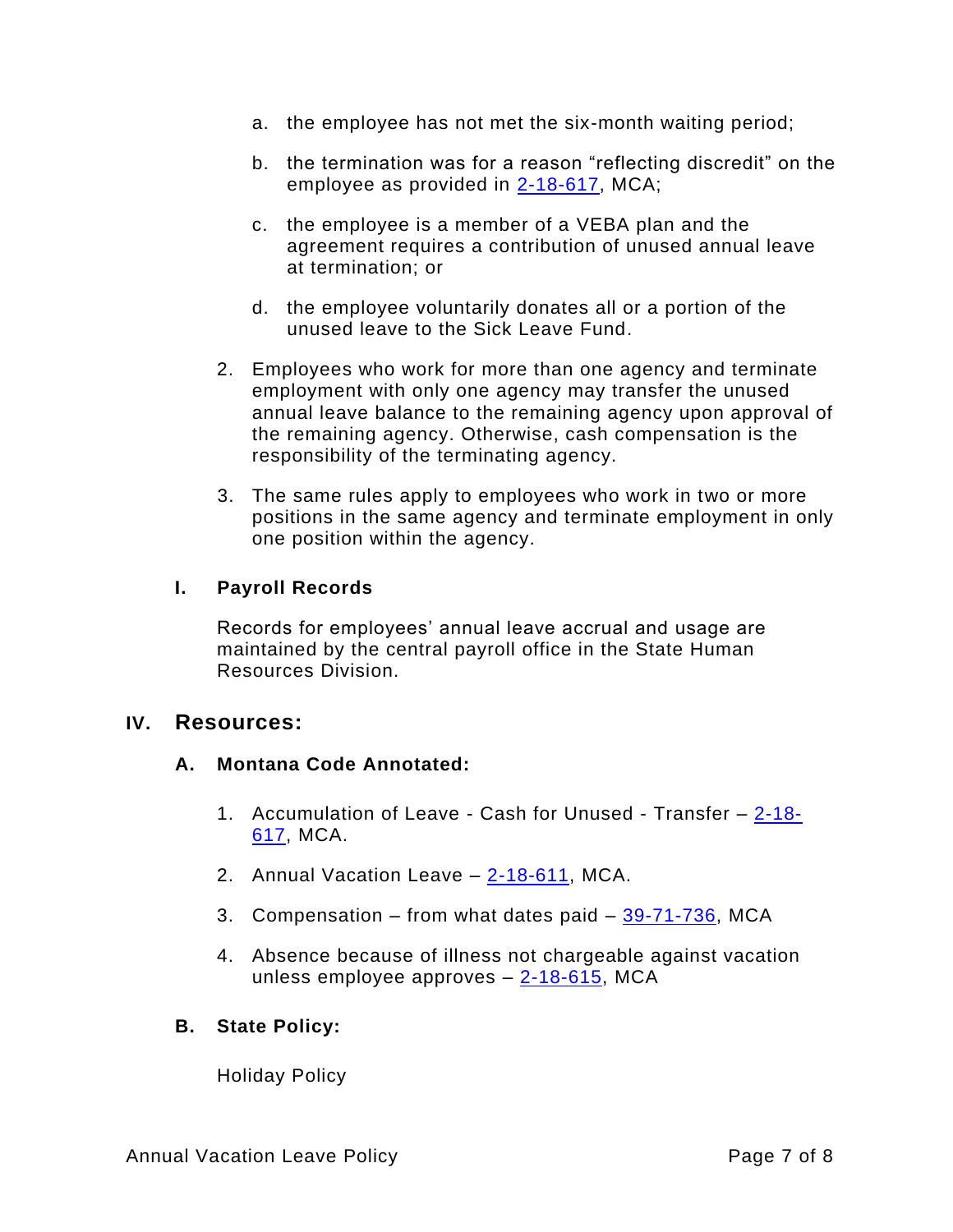- a. the employee has not met the six-month waiting period;
- b. the termination was for a reason "reflecting discredit" on the employee as provided in [2-18-617,](https://leg.mt.gov/bills/mca/title_0020/chapter_0180/part_0060/section_0170/0020-0180-0060-0170.html) MCA;
- c. the employee is a member of a VEBA plan and the agreement requires a contribution of unused annual leave at termination; or
- d. the employee voluntarily donates all or a portion of the unused leave to the Sick Leave Fund.
- 2. Employees who work for more than one agency and terminate employment with only one agency may transfer the unused annual leave balance to the remaining agency upon approval of the remaining agency. Otherwise, cash compensation is the responsibility of the terminating agency.
- 3. The same rules apply to employees who work in two or more positions in the same agency and terminate employment in only one position within the agency.

## **I. Payroll Records**

Records for employees' annual leave accrual and usage are maintained by the central payroll office in the State Human Resources Division.

## **IV. Resources:**

### **A. Montana Code Annotated:**

- 1. Accumulation of Leave Cash for Unused Transfer [2-18-](https://leg.mt.gov/bills/mca/title_0020/chapter_0180/part_0060/section_0170/0020-0180-0060-0170.html) [617,](https://leg.mt.gov/bills/mca/title_0020/chapter_0180/part_0060/section_0170/0020-0180-0060-0170.html) MCA.
- 2. Annual Vacation Leave [2-18-611,](https://leg.mt.gov/bills/mca/title_0020/chapter_0180/part_0060/section_0110/0020-0180-0060-0110.html) MCA.
- 3. Compensation from what dates paid  $-39-71-736$ , MCA
- 4. Absence because of illness not chargeable against vacation unless employee approves – [2-18-615,](https://leg.mt.gov/bills/mca/title_0020/chapter_0180/part_0060/section_0150/0020-0180-0060-0150.html) MCA

### **B. State Policy:**

Holiday Policy